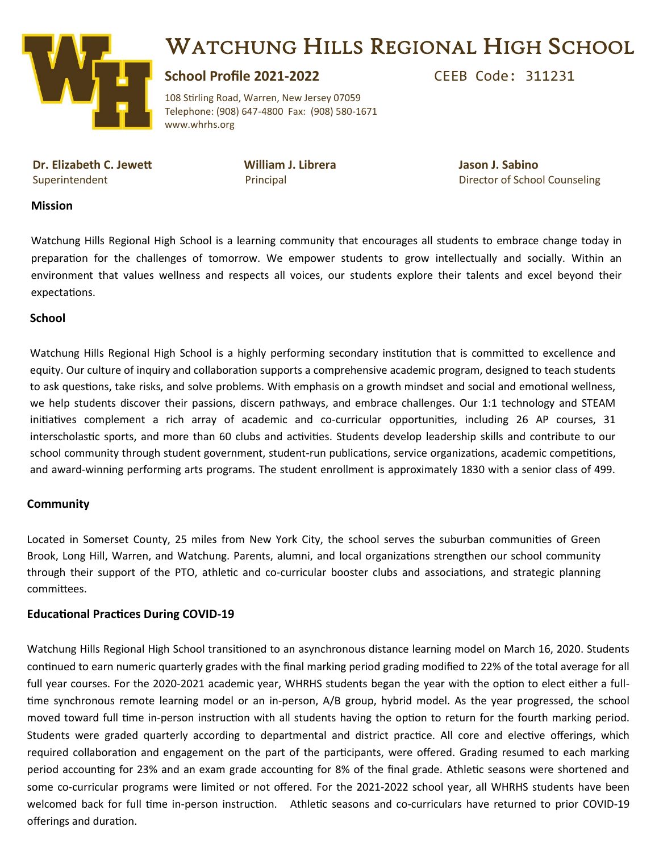

## WATCHUNG HILLS REGIONAL HIGH SCHOOL

### **School Profile 2021-2022** CEEB Code: 311231

108 Stirling Road, Warren, New Jersey 07059 Telephone: (908) 647-4800 Fax: (908) 580-1671 www.whrhs.org

**Dr. Elizabeth C. Jewett William J. Librera Jason J. Sabino**

Superintendent **Principal Principal Accord Principal Counseling** Director of School Counseling

#### **Mission**

Watchung Hills Regional High School is a learning community that encourages all students to embrace change today in preparation for the challenges of tomorrow. We empower students to grow intellectually and socially. Within an environment that values wellness and respects all voices, our students explore their talents and excel beyond their expectations.

### **School**

Watchung Hills Regional High School is a highly performing secondary institution that is committed to excellence and equity. Our culture of inquiry and collaboration supports a comprehensive academic program, designed to teach students to ask questions, take risks, and solve problems. With emphasis on a growth mindset and social and emotional wellness, we help students discover their passions, discern pathways, and embrace challenges. Our 1:1 technology and STEAM initiatives complement a rich array of academic and co-curricular opportunities, including 26 AP courses, 31 interscholastic sports, and more than 60 clubs and activities. Students develop leadership skills and contribute to our school community through student government, student-run publications, service organizations, academic competitions, and award-winning performing arts programs. The student enrollment is approximately 1830 with a senior class of 499.

### **Community**

Located in Somerset County, 25 miles from New York City, the school serves the suburban communities of Green Brook, Long Hill, Warren, and Watchung. Parents, alumni, and local organizations strengthen our school community through their support of the PTO, athletic and co-curricular booster clubs and associations, and strategic planning committees.

#### **Educational Practices During COVID-19**

Watchung Hills Regional High School transitioned to an asynchronous distance learning model on March 16, 2020. Students continued to earn numeric quarterly grades with the final marking period grading modified to 22% of the total average for all full year courses. For the 2020-2021 academic year, WHRHS students began the year with the option to elect either a fulltime synchronous remote learning model or an in-person, A/B group, hybrid model. As the year progressed, the school moved toward full time in-person instruction with all students having the option to return for the fourth marking period. Students were graded quarterly according to departmental and district practice. All core and elective offerings, which required collaboration and engagement on the part of the participants, were offered. Grading resumed to each marking period accounting for 23% and an exam grade accounting for 8% of the final grade. Athletic seasons were shortened and some co-curricular programs were limited or not offered. For the 2021-2022 school year, all WHRHS students have been welcomed back for full time in-person instruction. Athletic seasons and co-curriculars have returned to prior COVID-19 offerings and duration.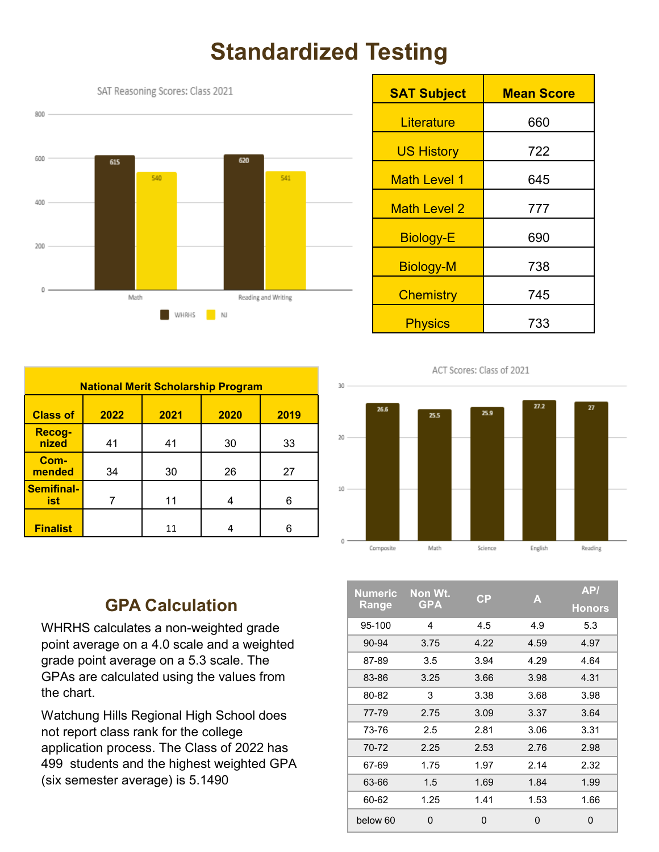# **Standardized Testing**



| <b>National Merit Scholarship Program</b> |                              |    |    |    |  |  |  |  |
|-------------------------------------------|------------------------------|----|----|----|--|--|--|--|
| <b>Class of</b>                           | 2022<br>2020<br>2021<br>2019 |    |    |    |  |  |  |  |
| Recog-<br>nized                           | 41                           | 41 | 30 | 33 |  |  |  |  |
| Com-<br>mended                            | 34                           | 30 | 26 | 27 |  |  |  |  |
| <b>Semifinal-</b><br>ist                  |                              | 11 |    | 6  |  |  |  |  |
| <b>Finalist</b>                           |                              | 11 |    | հ  |  |  |  |  |

| <b>SAT Subject</b>  | <b>Mean Score</b> |  |
|---------------------|-------------------|--|
| Literature          | 660               |  |
| <b>US History</b>   | 722               |  |
| <b>Math Level 1</b> | 645               |  |
| Math Level 2        | 777               |  |
| <b>Biology-E</b>    | 690               |  |
| <b>Biology-M</b>    | 738               |  |
| <b>Chemistry</b>    | 745               |  |
| <b>Physics</b>      | 733               |  |

### ACT Scores: Class of 2021



### **GPA Calculation**

WHRHS calculates a non-weighted grade point average on a 4.0 scale and a weighted grade point average on a 5.3 scale. The GPAs are calculated using the values from the chart.

Watchung Hills Regional High School does not report class rank for the college application process. The Class of 2022 has 499 students and the highest weighted GPA (six semester average) is 5.1490

| <b>Numeric</b> | Non Wt.    | $\mathsf{C}\mathsf{P}$ | A    | AP/           |
|----------------|------------|------------------------|------|---------------|
| Range          | <b>GPA</b> |                        |      | <b>Honors</b> |
| 95-100         | 4          | 4.5                    | 4.9  | 5.3           |
| 90-94          | 3.75       | 4.22                   | 4.59 | 4.97          |
| 87-89          | 3.5        | 3.94                   | 4.29 | 4.64          |
| 83-86          | 3.25       | 3.66                   | 3.98 | 4.31          |
| 80-82          | 3          | 3.38                   | 3.68 | 3.98          |
| 77-79          | 2.75       | 3.09                   | 3.37 | 3.64          |
| 73-76          | 2.5        | 2.81                   | 3.06 | 3.31          |
| 70-72          | 2.25       | 2.53                   | 2.76 | 2.98          |
| 67-69          | 1.75       | 1.97                   | 2.14 | 2.32          |
| 63-66          | 1.5        | 1.69                   | 1.84 | 1.99          |
| 60-62          | 1.25       | 1.41                   | 1.53 | 1.66          |
| below 60       | $\Omega$   | $\Omega$               | 0    | 0             |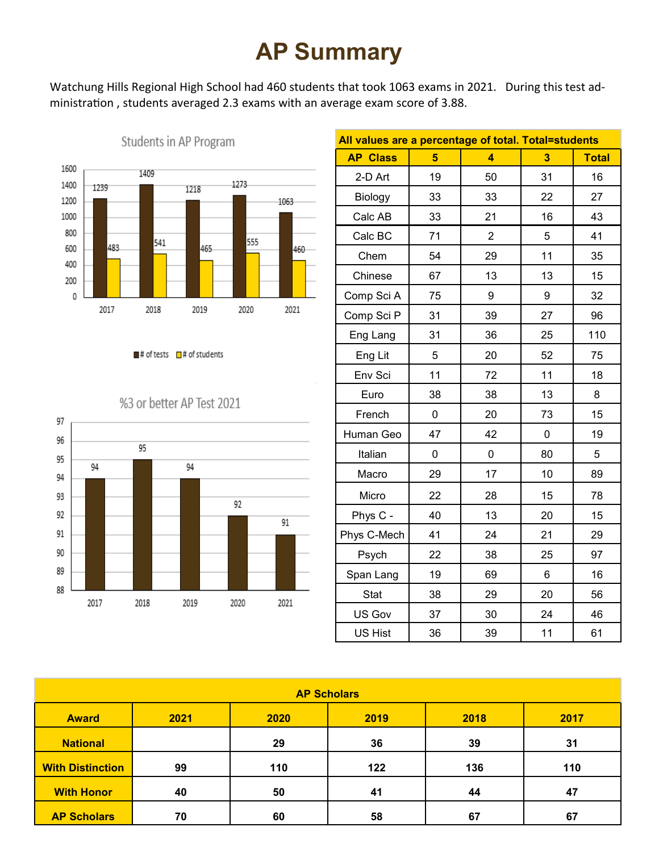# **AP Summary**

Watchung Hills Regional High School had 460 students that took 1063 exams in 2021. During this test administration , students averaged 2.3 exams with an average exam score of 3.88.



Students in AP Program

 $\blacksquare$ # of tests  $\blacksquare$ # of students



|  |  |  | %3 or better AP Test 2021 |  |  |  |
|--|--|--|---------------------------|--|--|--|
|--|--|--|---------------------------|--|--|--|

| All values are a percentage of total. Total=students |    |                |    |              |
|------------------------------------------------------|----|----------------|----|--------------|
| <b>AP Class</b>                                      | 5  | 4              | 3  | <b>Total</b> |
| 2-D Art                                              | 19 | 50             | 31 | 16           |
| Biology                                              | 33 | 33             | 22 | 27           |
| Calc AB                                              | 33 | 21             | 16 | 43           |
| Calc BC                                              | 71 | $\overline{2}$ | 5  | 41           |
| Chem                                                 | 54 | 29             | 11 | 35           |
| Chinese                                              | 67 | 13             | 13 | 15           |
| Comp Sci A                                           | 75 | 9              | 9  | 32           |
| Comp Sci P                                           | 31 | 39             | 27 | 96           |
| Eng Lang                                             | 31 | 36             | 25 | 110          |
| Eng Lit                                              | 5  | 20             | 52 | 75           |
| Env Sci                                              | 11 | 72             | 11 | 18           |
| Euro                                                 | 38 | 38             | 13 | 8            |
| French                                               | 0  | 20             | 73 | 15           |
| Human Geo                                            | 47 | 42             | 0  | 19           |
| Italian                                              | 0  | 0              | 80 | 5            |
| Macro                                                | 29 | 17             | 10 | 89           |
| Micro                                                | 22 | 28             | 15 | 78           |
| Phys C -                                             | 40 | 13             | 20 | 15           |
| Phys C-Mech                                          | 41 | 24             | 21 | 29           |
| Psych                                                | 22 | 38             | 25 | 97           |
| Span Lang                                            | 19 | 69             | 6  | 16           |
| <b>Stat</b>                                          | 38 | 29             | 20 | 56           |
| US Gov                                               | 37 | 30             | 24 | 46           |
| US Hist                                              | 36 | 39             | 11 | 61           |

| <b>AP Scholars</b>      |      |      |      |      |      |  |
|-------------------------|------|------|------|------|------|--|
| <b>Award</b>            | 2021 | 2020 | 2019 | 2018 | 2017 |  |
| <b>National</b>         |      | 29   | 36   | 39   | 31   |  |
| <b>With Distinction</b> | 99   | 110  | 122  | 136  | 110  |  |
| <b>With Honor</b>       | 40   | 50   | 41   | 44   | 47   |  |
| <b>AP Scholars</b>      | 70   | 60   | 58   | 67   | 67   |  |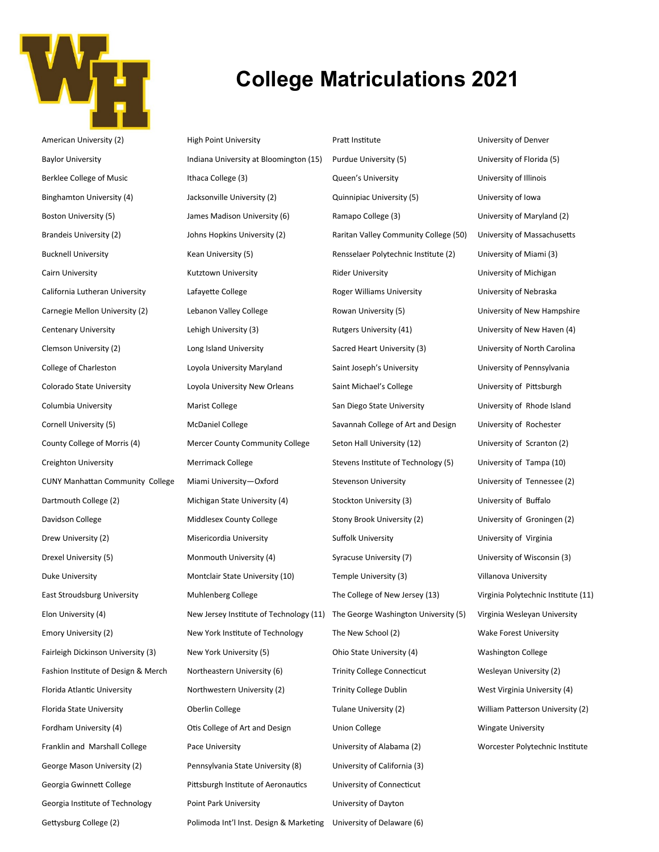

American University (2) Baylor University Berklee College of Music Binghamton University (4) Boston University (5) Brandeis University (2) Bucknell University Cairn University California Lutheran University Carnegie Mellon University (2) Centenary University Clemson University (2) College of Charleston Colorado State University Columbia University Cornell University (5) County College of Morris (4) Creighton University CUNY Manhattan Community College Dartmouth College (2) Davidson College Drew University (2) Drexel University (5) Duke University East Stroudsburg University Elon University (4) Emory University (2) Fairleigh Dickinson University (3) Fashion Institute of Design & Merch Florida Atlantic University Florida State University Fordham University (4) Franklin and Marshall College George Mason University (2) Georgia Gwinnett College Georgia Institute of Technology

Gettysburg College (2)

### **College Matriculations 2021**

High Point University Indiana University at Bloomington (15) Ithaca College (3) Jacksonville University (2) James Madison University (6) Johns Hopkins University (2) Kean University (5) Kutztown University Lafayette College Lebanon Valley College Lehigh University (3) Long Island University Loyola University Maryland Loyola University New Orleans Marist College McDaniel College Mercer County Community College Merrimack College Miami University—Oxford Michigan State University (4) Middlesex County College Misericordia University Monmouth University (4) Montclair State University (10) Muhlenberg College New Jersey Institute of Technology (11) The George Washington University (5) New York Institute of Technology New York University (5) Northeastern University (6) Northwestern University (2) Oberlin College Otis College of Art and Design Pace University Pennsylvania State University (8) Pittsburgh Institute of Aeronautics Point Park University Polimoda Int'l Inst. Design & Marketing University of Delaware (6)

Pratt Institute Purdue University (5) Queen's University Quinnipiac University (5) Ramapo College (3) Raritan Valley Community College (50) Rensselaer Polytechnic Institute (2) Rider University Roger Williams University Rowan University (5) Rutgers University (41) Sacred Heart University (3) Saint Joseph's University Saint Michael's College San Diego State University Savannah College of Art and Design Seton Hall University (12) Stevens Institute of Technology (5) Stevenson University Stockton University (3) Stony Brook University (2) Suffolk University Syracuse University (7) Temple University (3) The College of New Jersey (13) The New School (2) Ohio State University (4) Trinity College Connecticut Trinity College Dublin Tulane University (2) Union College University of Alabama (2) University of California (3) University of Connecticut University of Dayton

University of Denver University of Florida (5) University of Illinois University of Iowa University of Maryland (2) University of Massachusetts University of Miami (3) University of Michigan University of Nebraska University of New Hampshire University of New Haven (4) University of North Carolina University of Pennsylvania University of Pittsburgh University of Rhode Island University of Rochester University of Scranton (2) University of Tampa (10) University of Tennessee (2) University of Buffalo University of Groningen (2) University of Virginia University of Wisconsin (3) Villanova University Virginia Polytechnic Institute (11) Virginia Wesleyan University Wake Forest University Washington College Wesleyan University (2) West Virginia University (4) William Patterson University (2) Wingate University Worcester Polytechnic Institute